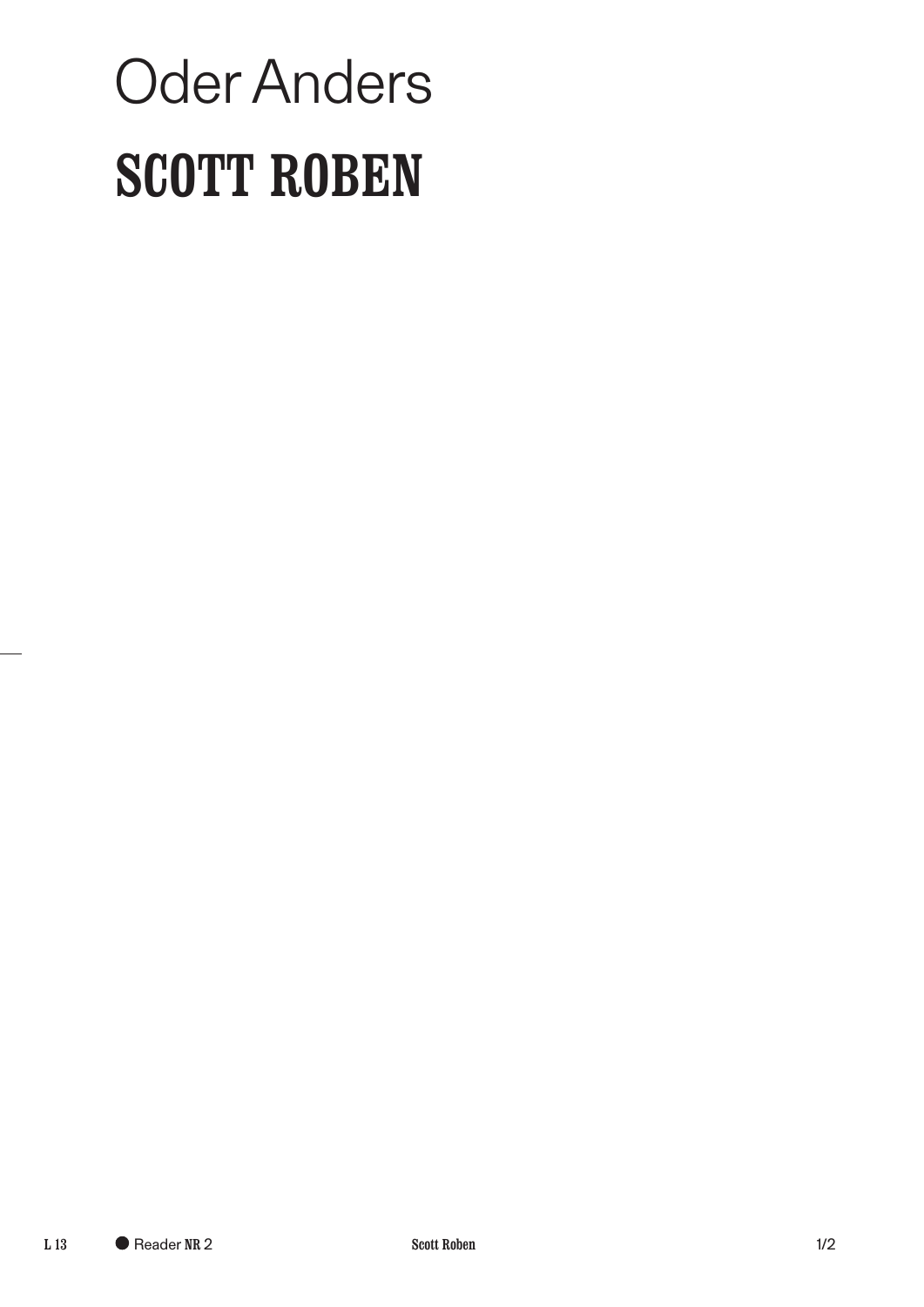## Oder Anders SCOTT ROBEN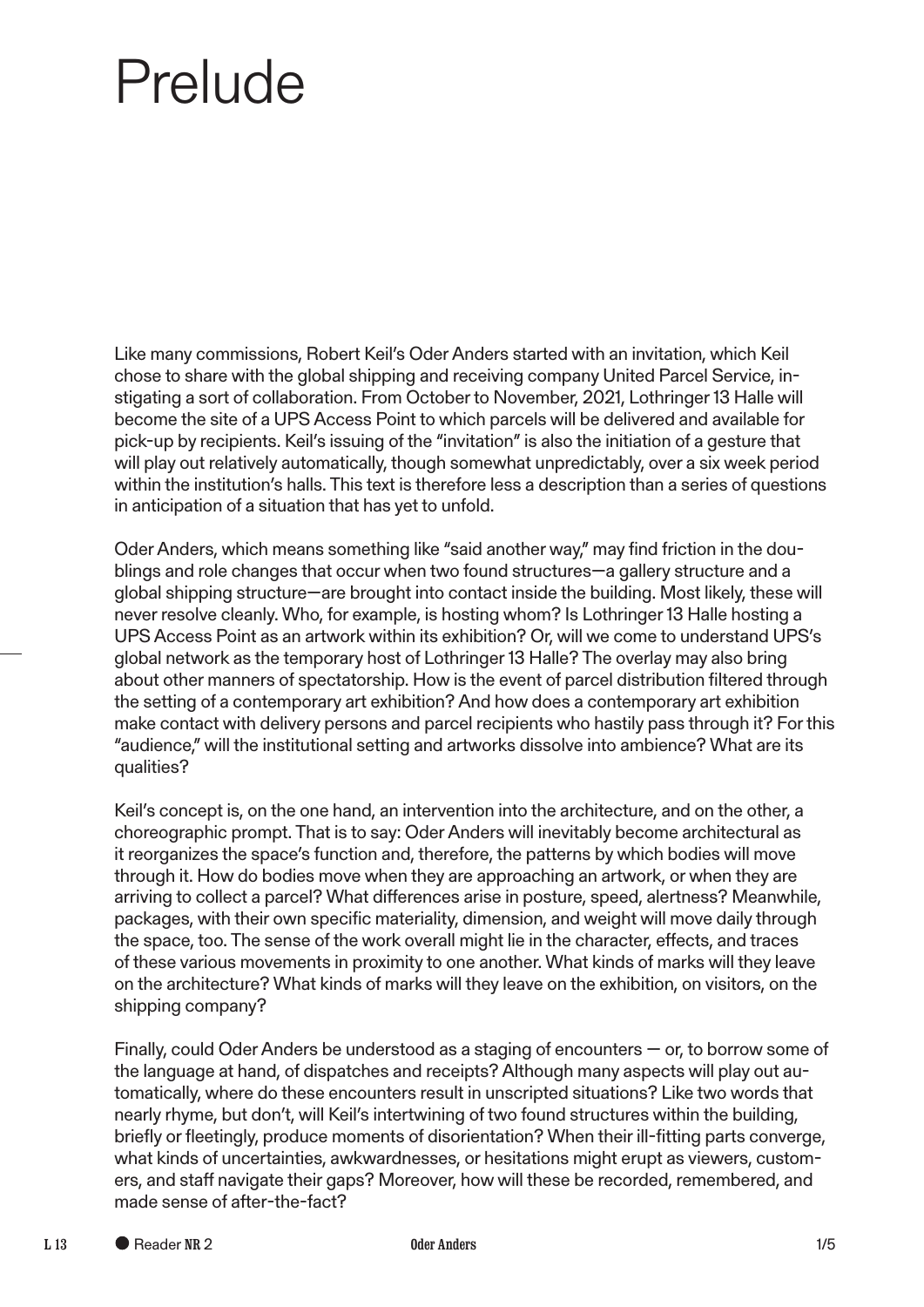## Prelude

Like many commissions, Robert Keil's Oder Anders started with an invitation, which Keil chose to share with the global shipping and receiving company United Parcel Service, instigating a sort of collaboration. From October to November, 2021, Lothringer 13 Halle will become the site of a UPS Access Point to which parcels will be delivered and available for pick-up by recipients. Keil's issuing of the "invitation" is also the initiation of a gesture that will play out relatively automatically, though somewhat unpredictably, over a six week period within the institution's halls. This text is therefore less a description than a series of questions in anticipation of a situation that has yet to unfold.

Oder Anders, which means something like "said another way," may find friction in the doublings and role changes that occur when two found structures—a gallery structure and a global shipping structure—are brought into contact inside the building. Most likely, these will never resolve cleanly. Who, for example, is hosting whom? Is Lothringer 13 Halle hosting a UPS Access Point as an artwork within its exhibition? Or, will we come to understand UPS's global network as the temporary host of Lothringer 13 Halle? The overlay may also bring about other manners of spectatorship. How is the event of parcel distribution fltered through the setting of a contemporary art exhibition? And how does a contemporary art exhibition make contact with delivery persons and parcel recipients who hastily pass through it? For this "audience," will the institutional setting and artworks dissolve into ambience? What are its qualities?

Keil's concept is, on the one hand, an intervention into the architecture, and on the other, a choreographic prompt. That is to say: Oder Anders will inevitably become architectural as it reorganizes the space's function and, therefore, the patterns by which bodies will move through it. How do bodies move when they are approaching an artwork, or when they are arriving to collect a parcel? What diferences arise in posture, speed, alertness? Meanwhile, packages, with their own specific materiality, dimension, and weight will move daily through the space, too. The sense of the work overall might lie in the character, efects, and traces of these various movements in proximity to one another. What kinds of marks will they leave on the architecture? What kinds of marks will they leave on the exhibition, on visitors, on the shipping company?

Finally, could Oder Anders be understood as a staging of encounters — or, to borrow some of the language at hand, of dispatches and receipts? Although many aspects will play out automatically, where do these encounters result in unscripted situations? Like two words that nearly rhyme, but don't, will Keil's intertwining of two found structures within the building, briefy or feetingly, produce moments of disorientation? When their ill-ftting parts converge, what kinds of uncertainties, awkwardnesses, or hesitations might erupt as viewers, customers, and staff navigate their gaps? Moreover, how will these be recorded, remembered, and made sense of after-the-fact?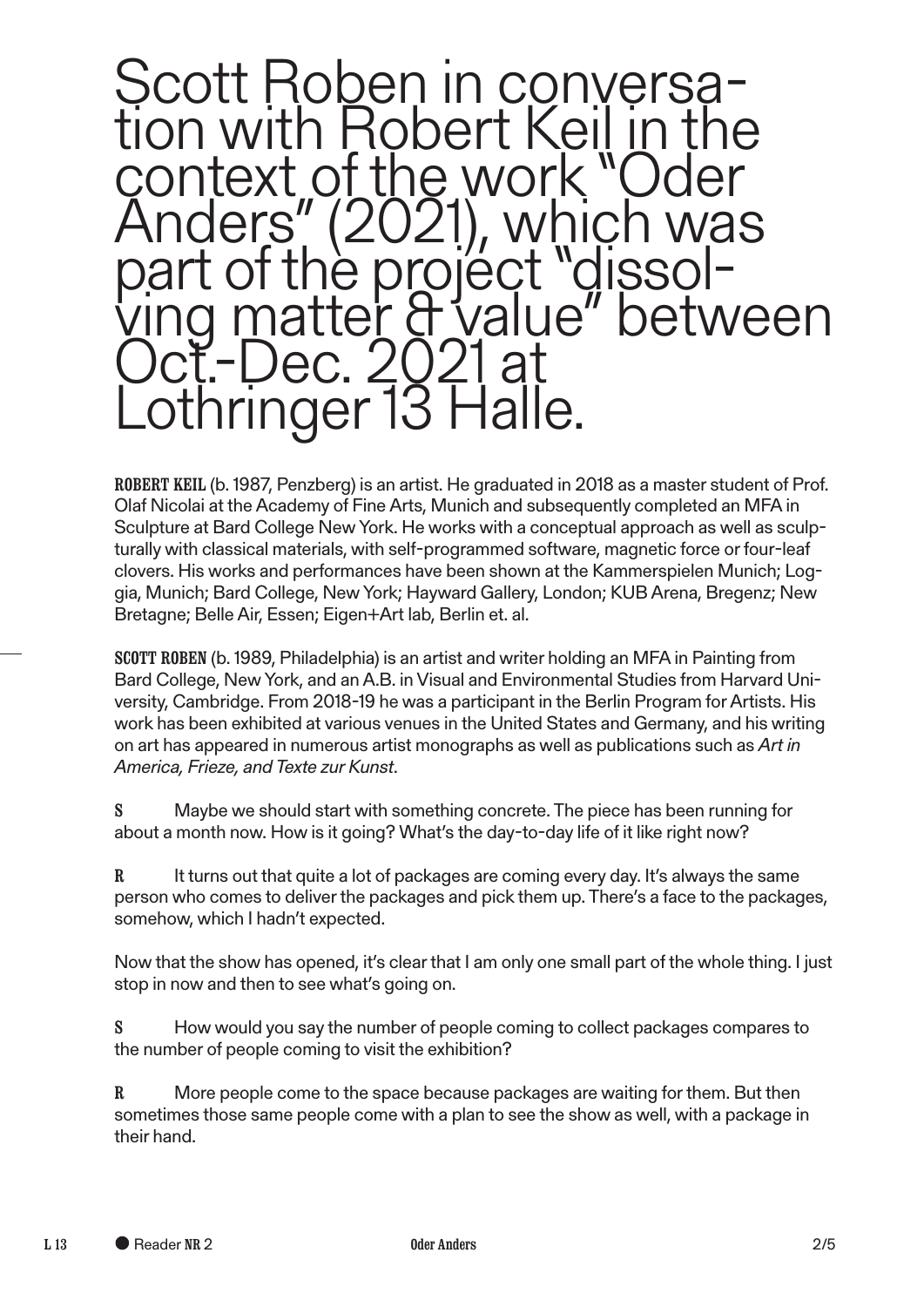

ROBERT KEIL (b. 1987, Penzberg) is an artist. He graduated in 2018 as a master student of Prof. Olaf Nicolai at the Academy of Fine Arts, Munich and subsequently completed an MFA in Sculpture at Bard College New York. He works with a conceptual approach as well as sculpturally with classical materials, with self-programmed software, magnetic force or four-leaf clovers. His works and performances have been shown at the Kammerspielen Munich; Loggia, Munich; Bard College, New York; Hayward Gallery, London; KUB Arena, Bregenz; New Bretagne; Belle Air, Essen; Eigen+Art lab, Berlin et. al.

SCOTT ROBEN (b. 1989, Philadelphia) is an artist and writer holding an MFA in Painting from Bard College, New York, and an A.B. in Visual and Environmental Studies from Harvard University, Cambridge. From 2018-19 he was a participant in the Berlin Program for Artists. His work has been exhibited at various venues in the United States and Germany, and his writing on art has appeared in numerous artist monographs as well as publications such as *Art in America, Frieze, and Texte zur Kunst*.

S Maybe we should start with something concrete. The piece has been running for about a month now. How is it going? What's the day-to-day life of it like right now?

R It turns out that quite a lot of packages are coming every day. It's always the same person who comes to deliver the packages and pick them up. There's a face to the packages, somehow, which I hadn't expected.

Now that the show has opened, it's clear that I am only one small part of the whole thing. I just stop in now and then to see what's going on.

S How would you say the number of people coming to collect packages compares to the number of people coming to visit the exhibition?

R More people come to the space because packages are waiting for them. But then sometimes those same people come with a plan to see the show as well, with a package in their hand.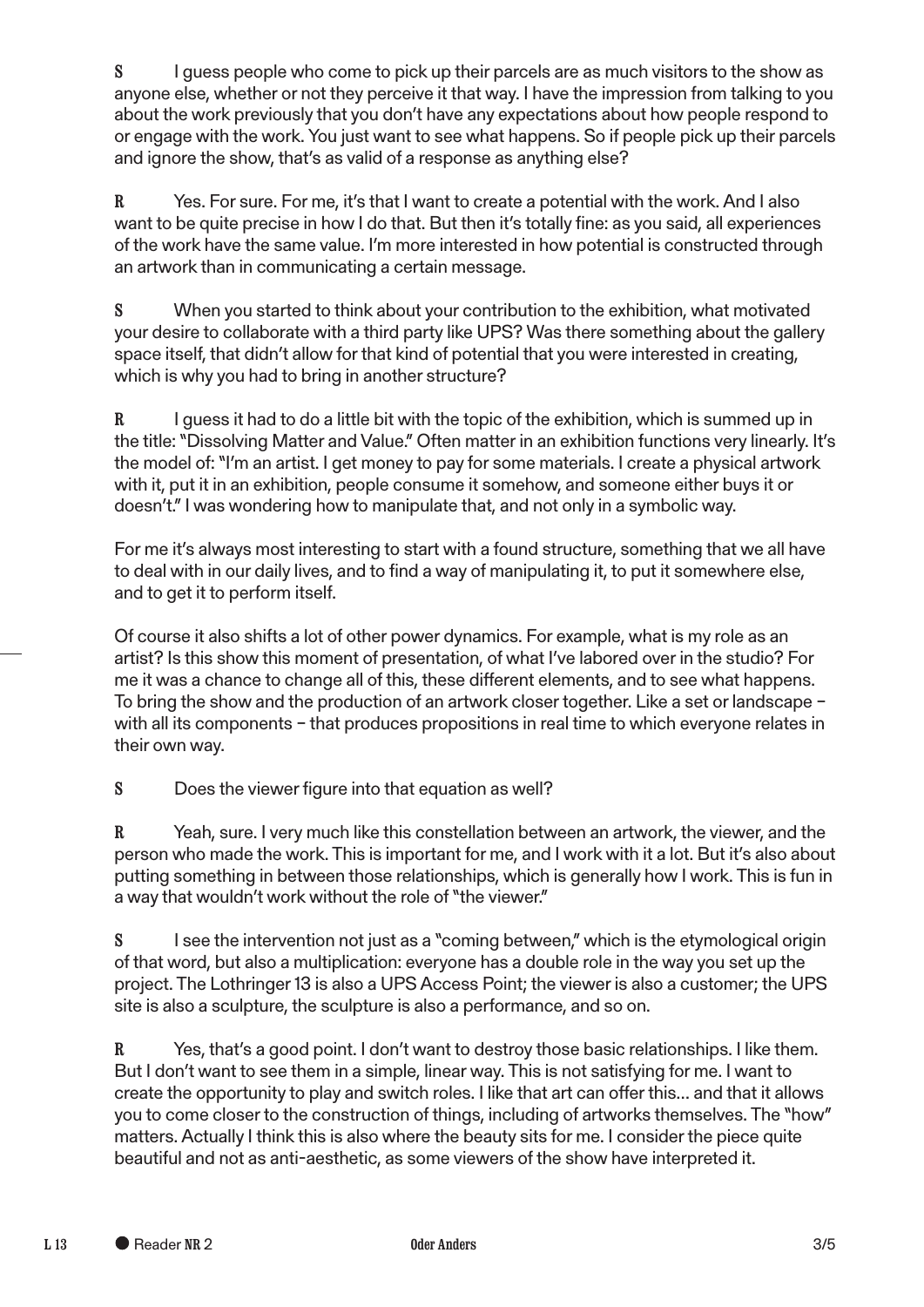S I guess people who come to pick up their parcels are as much visitors to the show as anyone else, whether or not they perceive it that way. I have the impression from talking to you about the work previously that you don't have any expectations about how people respond to or engage with the work. You just want to see what happens. So if people pick up their parcels and ignore the show, that's as valid of a response as anything else?

R Yes. For sure. For me, it's that I want to create a potential with the work. And I also want to be quite precise in how I do that. But then it's totally fine: as you said, all experiences of the work have the same value. I'm more interested in how potential is constructed through an artwork than in communicating a certain message.

S When you started to think about your contribution to the exhibition, what motivated your desire to collaborate with a third party like UPS? Was there something about the gallery space itself, that didn't allow for that kind of potential that you were interested in creating, which is why you had to bring in another structure?

 $R$  I guess it had to do a little bit with the topic of the exhibition, which is summed up in the title: "Dissolving Matter and Value." Often matter in an exhibition functions very linearly. It's the model of: "I'm an artist. I get money to pay for some materials. I create a physical artwork with it, put it in an exhibition, people consume it somehow, and someone either buys it or doesn't." I was wondering how to manipulate that, and not only in a symbolic way.

For me it's always most interesting to start with a found structure, something that we all have to deal with in our daily lives, and to find a way of manipulating it, to put it somewhere else, and to get it to perform itself.

Of course it also shifts a lot of other power dynamics. For example, what is my role as an artist? Is this show this moment of presentation, of what I've labored over in the studio? For me it was a chance to change all of this, these diferent elements, and to see what happens. To bring the show and the production of an artwork closer together. Like a set or landscape – with all its components – that produces propositions in real time to which everyone relates in their own way.

S Does the viewer figure into that equation as well?

R Yeah, sure. I very much like this constellation between an artwork, the viewer, and the person who made the work. This is important for me, and I work with it a lot. But it's also about putting something in between those relationships, which is generally how I work. This is fun in a way that wouldn't work without the role of "the viewer."

S I see the intervention not just as a "coming between," which is the etymological origin of that word, but also a multiplication: everyone has a double role in the way you set up the project. The Lothringer 13 is also a UPS Access Point; the viewer is also a customer; the UPS site is also a sculpture, the sculpture is also a performance, and so on.

R Yes, that's a good point. I don't want to destroy those basic relationships. I like them. But I don't want to see them in a simple, linear way. This is not satisfying for me. I want to create the opportunity to play and switch roles. I like that art can offer this... and that it allows you to come closer to the construction of things, including of artworks themselves. The "how" matters. Actually I think this is also where the beauty sits for me. I consider the piece quite beautiful and not as anti-aesthetic, as some viewers of the show have interpreted it.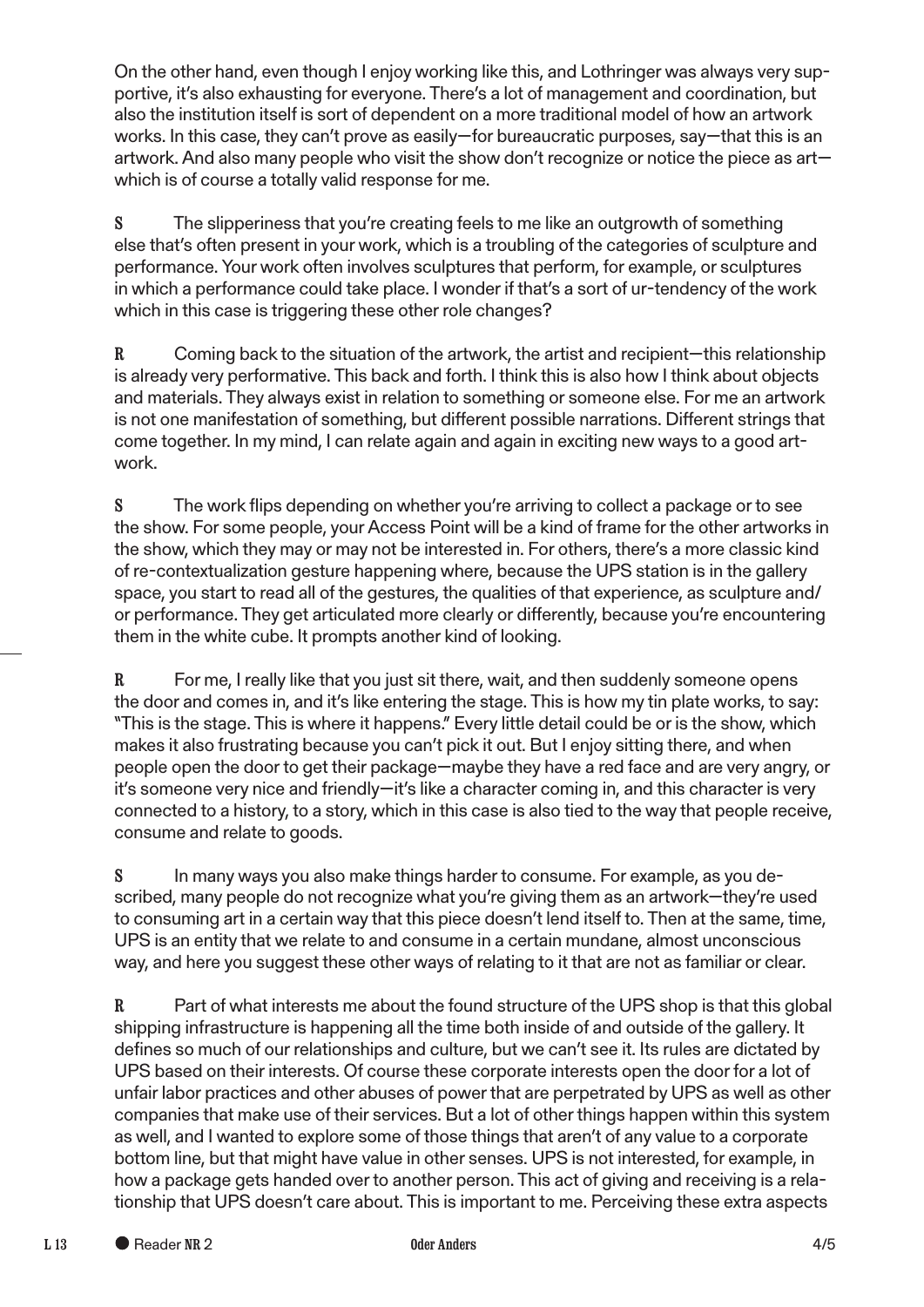On the other hand, even though I enjoy working like this, and Lothringer was always very supportive, it's also exhausting for everyone. There's a lot of management and coordination, but also the institution itself is sort of dependent on a more traditional model of how an artwork works. In this case, they can't prove as easily—for bureaucratic purposes, say—that this is an artwork. And also many people who visit the show don't recognize or notice the piece as art which is of course a totally valid response for me.

S The slipperiness that you're creating feels to me like an outgrowth of something else that's often present in your work, which is a troubling of the categories of sculpture and performance. Your work often involves sculptures that perform, for example, or sculptures in which a performance could take place. I wonder if that's a sort of ur-tendency of the work which in this case is triggering these other role changes?

R Coming back to the situation of the artwork, the artist and recipient—this relationship is already very performative. This back and forth. I think this is also how I think about objects and materials. They always exist in relation to something or someone else. For me an artwork is not one manifestation of something, but diferent possible narrations. Diferent strings that come together. In my mind, I can relate again and again in exciting new ways to a good artwork.

S The work fips depending on whether you're arriving to collect a package or to see the show. For some people, your Access Point will be a kind of frame for the other artworks in the show, which they may or may not be interested in. For others, there's a more classic kind of re-contextualization gesture happening where, because the UPS station is in the gallery space, you start to read all of the gestures, the qualities of that experience, as sculpture and/ or performance. They get articulated more clearly or diferently, because you're encountering them in the white cube. It prompts another kind of looking.

R For me, I really like that you just sit there, wait, and then suddenly someone opens the door and comes in, and it's like entering the stage. This is how my tin plate works, to say: "This is the stage. This is where it happens." Every little detail could be or is the show, which makes it also frustrating because you can't pick it out. But I enjoy sitting there, and when people open the door to get their package—maybe they have a red face and are very angry, or it's someone very nice and friendly—it's like a character coming in, and this character is very connected to a history, to a story, which in this case is also tied to the way that people receive, consume and relate to goods.

S In many ways you also make things harder to consume. For example, as you described, many people do not recognize what you're giving them as an artwork—they're used to consuming art in a certain way that this piece doesn't lend itself to. Then at the same, time, UPS is an entity that we relate to and consume in a certain mundane, almost unconscious way, and here you suggest these other ways of relating to it that are not as familiar or clear.

R Part of what interests me about the found structure of the UPS shop is that this global shipping infrastructure is happening all the time both inside of and outside of the gallery. It defnes so much of our relationships and culture, but we can't see it. Its rules are dictated by UPS based on their interests. Of course these corporate interests open the door for a lot of unfair labor practices and other abuses of power that are perpetrated by UPS as well as other companies that make use of their services. But a lot of other things happen within this system as well, and I wanted to explore some of those things that aren't of any value to a corporate bottom line, but that might have value in other senses. UPS is not interested, for example, in how a package gets handed over to another person. This act of giving and receiving is a relationship that UPS doesn't care about. This is important to me. Perceiving these extra aspects